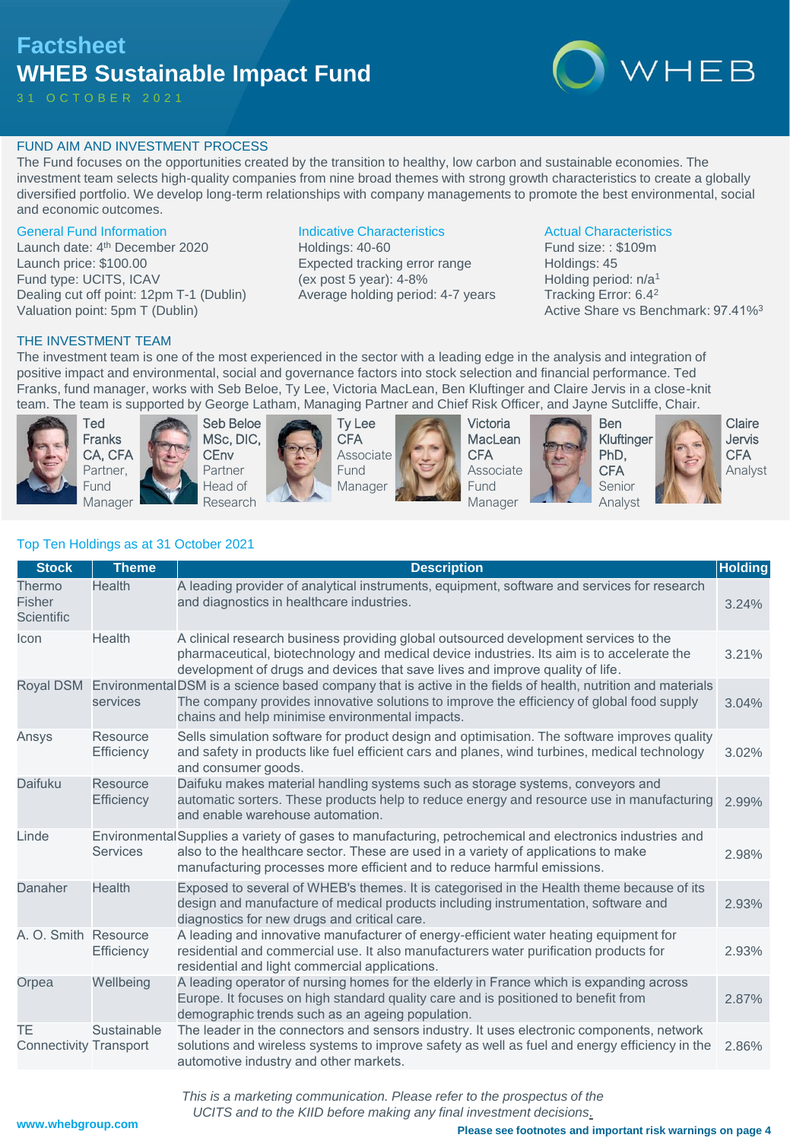## **Factsheet WHEB Sustainable Impact Fund**

3 1 O C T O B E R 2 0 2 1



### FUND AIM AND INVESTMENT PROCESS

The Fund focuses on the opportunities created by the transition to healthy, low carbon and sustainable economies. The investment team selects high-quality companies from nine broad themes with strong growth characteristics to create a globally diversified portfolio. We develop long-term relationships with company managements to promote the best environmental, social and economic outcomes.

### General Fund Information

Launch date: 4<sup>th</sup> December 2020 Launch price: \$100.00 Fund type: UCITS, ICAV Dealing cut off point: 12pm T-1 (Dublin) Valuation point: 5pm T (Dublin)

### Indicative Characteristics

Holdings: 40-60 Expected tracking error range (ex post 5 year): 4-8% Average holding period: 4-7 years

### Actual Characteristics

Fund size: : \$109m Holdings: 45 Holding period: n/a<sup>1</sup> Tracking Error: 6.4<sup>2</sup> Active Share vs Benchmark: 97.41%<sup>3</sup>

### THE INVESTMENT TEAM

The investment team is one of the most experienced in the sector with a leading edge in the analysis and integration of positive impact and environmental, social and governance factors into stock selection and financial performance. Ted Franks, fund manager, works with Seb Beloe, Ty Lee, Victoria MacLean, Ben Kluftinger and Claire Jervis in a close-knit team. The team is supported by George Latham, Managing Partner and Chief Risk Officer, and Jayne Sutcliffe, Chair.



Ted Franks CA, CFA Partner, Fund Manager





Ty Lee CFA Associate Fund Manager



Victoria **MacLean CFA** Associate Fund Manager







Jervis **CFA** Analyst

Claire

|  | Top Ten Holdings as at 31 October 2021 |  |
|--|----------------------------------------|--|
|  |                                        |  |

| <b>Stock</b>                         | <b>Theme</b>                  | <b>Description</b>                                                                                                                                                                                                                                                        | <b>Holding</b> |
|--------------------------------------|-------------------------------|---------------------------------------------------------------------------------------------------------------------------------------------------------------------------------------------------------------------------------------------------------------------------|----------------|
| Thermo<br>Fisher<br>Scientific       | Health                        | A leading provider of analytical instruments, equipment, software and services for research<br>and diagnostics in healthcare industries.                                                                                                                                  | 3.24%          |
| <b>Icon</b>                          | Health                        | A clinical research business providing global outsourced development services to the<br>pharmaceutical, biotechnology and medical device industries. Its aim is to accelerate the<br>development of drugs and devices that save lives and improve quality of life.        | 3.21%          |
| Royal DSM                            | services                      | EnvironmentalDSM is a science based company that is active in the fields of health, nutrition and materials<br>The company provides innovative solutions to improve the efficiency of global food supply<br>chains and help minimise environmental impacts.               | 3.04%          |
| Ansys                                | Resource<br>Efficiency        | Sells simulation software for product design and optimisation. The software improves quality<br>and safety in products like fuel efficient cars and planes, wind turbines, medical technology<br>and consumer goods.                                                      | 3.02%          |
| Daifuku                              | <b>Resource</b><br>Efficiency | Daifuku makes material handling systems such as storage systems, conveyors and<br>automatic sorters. These products help to reduce energy and resource use in manufacturing<br>and enable warehouse automation.                                                           | 2.99%          |
| Linde                                | <b>Services</b>               | Environmental Supplies a variety of gases to manufacturing, petrochemical and electronics industries and<br>also to the healthcare sector. These are used in a variety of applications to make<br>manufacturing processes more efficient and to reduce harmful emissions. | 2.98%          |
| Danaher                              | <b>Health</b>                 | Exposed to several of WHEB's themes. It is categorised in the Health theme because of its<br>design and manufacture of medical products including instrumentation, software and<br>diagnostics for new drugs and critical care.                                           | 2.93%          |
| A. O. Smith Resource                 | Efficiency                    | A leading and innovative manufacturer of energy-efficient water heating equipment for<br>residential and commercial use. It also manufacturers water purification products for<br>residential and light commercial applications.                                          | 2.93%          |
| Orpea                                | Wellbeing                     | A leading operator of nursing homes for the elderly in France which is expanding across<br>Europe. It focuses on high standard quality care and is positioned to benefit from<br>demographic trends such as an ageing population.                                         | 2.87%          |
| TE.<br><b>Connectivity Transport</b> | Sustainable                   | The leader in the connectors and sensors industry. It uses electronic components, network<br>solutions and wireless systems to improve safety as well as fuel and energy efficiency in the<br>automotive industry and other markets.                                      | 2.86%          |

*This is a marketing communication. Please refer to the prospectus of the UCITS and to the KIID before making any final investment decisions.*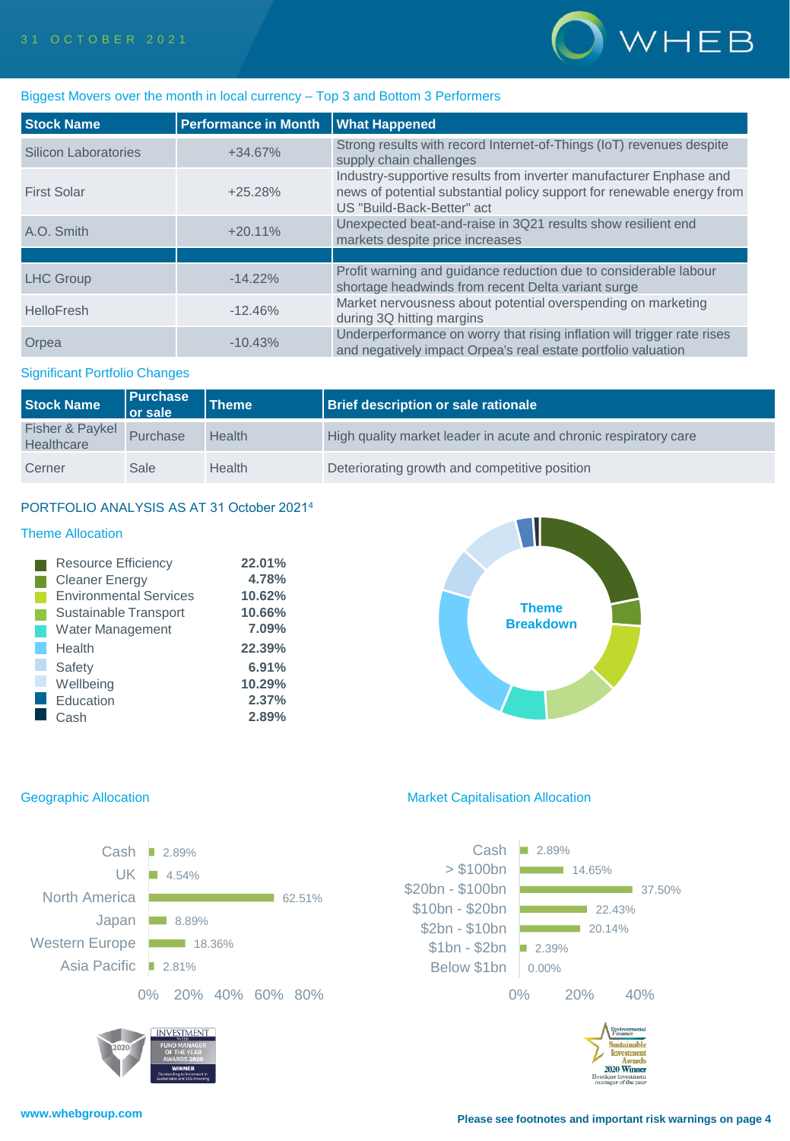

### Biggest Movers over the month in local currency – Top 3 and Bottom 3 Performers

| <b>Stock Name</b>           | <b>Performance in Month</b> | <b>What Happened</b>                                                                                                                                                       |
|-----------------------------|-----------------------------|----------------------------------------------------------------------------------------------------------------------------------------------------------------------------|
| <b>Silicon Laboratories</b> | $+34.67%$                   | Strong results with record Internet-of-Things (IoT) revenues despite<br>supply chain challenges                                                                            |
| <b>First Solar</b>          | $+25.28%$                   | Industry-supportive results from inverter manufacturer Enphase and<br>news of potential substantial policy support for renewable energy from<br>US "Build-Back-Better" act |
| A.O. Smith                  | $+20.11%$                   | Unexpected beat-and-raise in 3Q21 results show resilient end<br>markets despite price increases                                                                            |
|                             |                             |                                                                                                                                                                            |
| <b>LHC Group</b>            | $-14.22\%$                  | Profit warning and quidance reduction due to considerable labour<br>shortage headwinds from recent Delta variant surge                                                     |
| <b>HelloFresh</b>           | $-12.46%$                   | Market nervousness about potential overspending on marketing<br>during 3Q hitting margins                                                                                  |
| Orpea                       | $-10.43%$                   | Underperformance on worry that rising inflation will trigger rate rises<br>and negatively impact Orpea's real estate portfolio valuation                                   |

### Significant Portfolio Changes

| <b>Stock Name</b>             | Purchase<br><b>Or sale</b> | Theme         | <b>Brief description or sale rationale</b>                       |
|-------------------------------|----------------------------|---------------|------------------------------------------------------------------|
| Fisher & Paykel<br>Healthcare | Purchase                   | Health        | High quality market leader in acute and chronic respiratory care |
| Cerner                        | Sale                       | <b>Health</b> | Deteriorating growth and competitive position                    |

### PORTFOLIO ANALYSIS AS AT 31 October 2021<sup>4</sup>

### Theme Allocation

| <b>Resource Efficiency</b>    | 22.01% |
|-------------------------------|--------|
| <b>Cleaner Energy</b>         | 4.78%  |
| <b>Environmental Services</b> | 10.62% |
| Sustainable Transport         | 10.66% |
| <b>Water Management</b>       | 7.09%  |
| Health                        | 22.39% |
| Safety                        | 6.91%  |
| Wellbeing                     | 10.29% |
| Education                     | 2.37%  |
| Cash                          | 2.89%  |

# **Theme Breakdown**



### Geographic Allocation **Market Capitalisation Allocation** Market Capitalisation Allocation

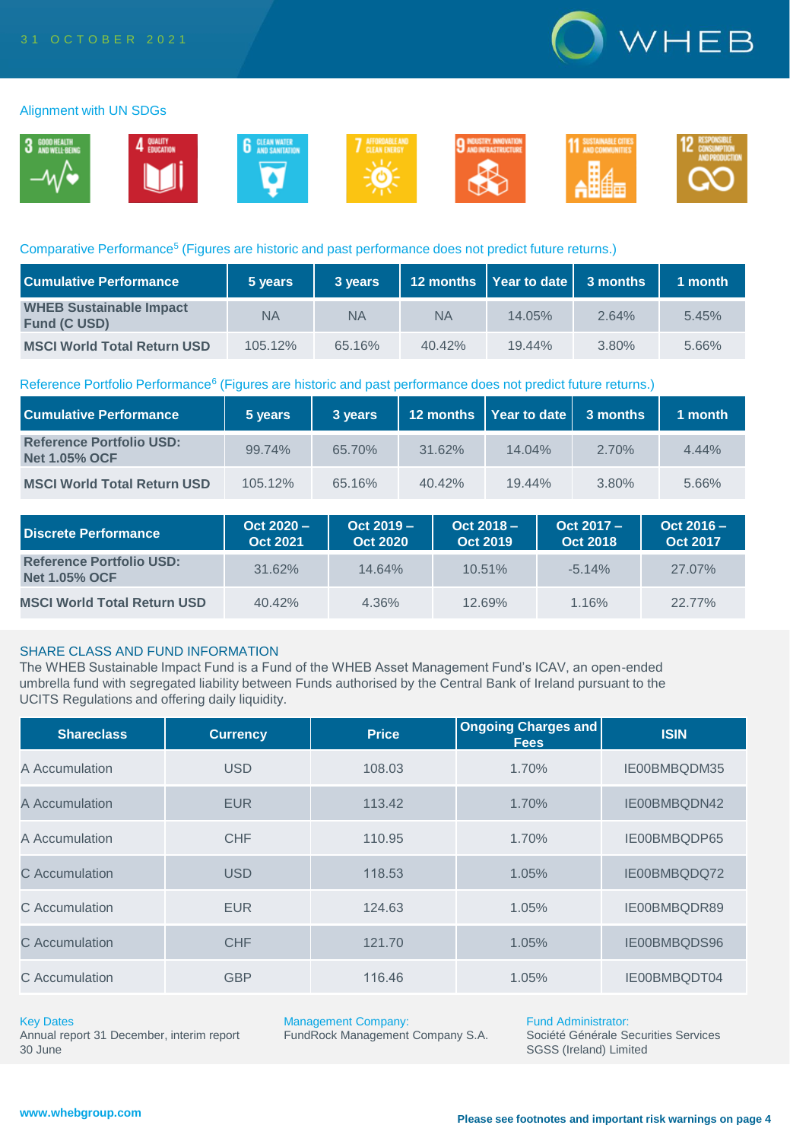

### Alignment with UN SDGs



### Comparative Performance<sup>5</sup> (Figures are historic and past performance does not predict future returns.)

| <b>Cumulative Performance</b>                         | 5 years | 3 years   |           | 12 months   Year to date   3 months |          | 1 month |
|-------------------------------------------------------|---------|-----------|-----------|-------------------------------------|----------|---------|
| <b>WHEB Sustainable Impact</b><br><b>Fund (C USD)</b> | ΝA      | <b>NA</b> | <b>NA</b> | $14.05\%$                           | 2.64%    | 5.45%   |
| <b>MSCI World Total Return USD</b>                    | 105.12% | 65.16%    | $40.42\%$ | $19.44\%$                           | $3.80\%$ | 5.66%   |

### Reference Portfolio Performance<sup>6</sup> (Figures are historic and past performance does not predict future returns.)

| <b>Cumulative Performance</b>                           | 5 years | 3 years |           | 12 months   Year to date   3 months |          | 1 month  |
|---------------------------------------------------------|---------|---------|-----------|-------------------------------------|----------|----------|
| <b>Reference Portfolio USD:</b><br><b>Net 1.05% OCF</b> | 99.74%  | 65.70%  | 31.62%    | $14.04\%$                           | $2.70\%$ | $4.44\%$ |
| <b>MSCI World Total Return USD</b>                      | 105.12% | 65.16%  | $40.42\%$ | $19.44\%$                           | 3.80%    | 5.66%    |

| Discrete Performance                                    | $Oct 2020 -$<br><b>Oct 2021</b> | $Oct 2019 -$<br><b>Oct 2020</b> | $Oct 2018 -$<br><b>Oct 2019</b> | $Oct 2017 -$<br><b>Oct 2018</b> | $Oct 2016 -$<br><b>Oct 2017</b> |
|---------------------------------------------------------|---------------------------------|---------------------------------|---------------------------------|---------------------------------|---------------------------------|
| <b>Reference Portfolio USD:</b><br><b>Net 1.05% OCF</b> | 31.62%                          | 14.64%                          | $10.51\%$                       | $-5.14%$                        | 27.07%                          |
| <b>MSCI World Total Return USD</b>                      | 40.42%                          | 4.36%                           | 12.69%                          | 1.16%                           | 22.77%                          |

### SHARE CLASS AND FUND INFORMATION

The WHEB Sustainable Impact Fund is a Fund of the WHEB Asset Management Fund's ICAV, an open-ended umbrella fund with segregated liability between Funds authorised by the Central Bank of Ireland pursuant to the UCITS Regulations and offering daily liquidity.

| <b>Shareclass</b> | <b>Currency</b> | <b>Price</b> | <b>Ongoing Charges and</b><br><b>Fees</b> | <b>ISIN</b>  |
|-------------------|-----------------|--------------|-------------------------------------------|--------------|
| A Accumulation    | <b>USD</b>      | 108.03       | 1.70%                                     | IE00BMBQDM35 |
| A Accumulation    | <b>EUR</b>      | 113.42       | 1.70%                                     | IE00BMBQDN42 |
| A Accumulation    | <b>CHF</b>      | 110.95       | 1.70%                                     | IE00BMBQDP65 |
| C Accumulation    | <b>USD</b>      | 118.53       | 1.05%                                     | IE00BMBQDQ72 |
| C Accumulation    | <b>EUR</b>      | 124.63       | 1.05%                                     | IE00BMBQDR89 |
| C Accumulation    | <b>CHF</b>      | 121.70       | 1.05%                                     | IE00BMBQDS96 |
| C Accumulation    | <b>GBP</b>      | 116.46       | 1.05%                                     | IE00BMBQDT04 |

### Key Dates

Annual report 31 December, interim report 30 June

Management Company:

FundRock Management Company S.A.

Fund Administrator: Société Générale Securities Services SGSS (Ireland) Limited